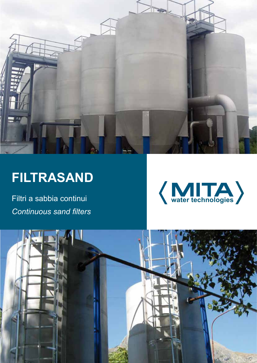

# **FILTRASAND**

Filtri a sabbia continui *Continuous sand filters*



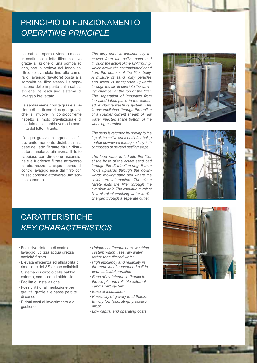### PRINCIPIO DI FUNZIONAMENTO *Operating principle*

La sabbia sporca viene rimossa in continuo dal letto filtrante attivo grazie all'azione di una pompa ad aria, che la preleva dal fondo del filtro, sollevandola fino alla camera di lavaggio (lavatore) posta alla sommità del filtro stesso. La separazione delle impurità dalla sabbia avviene nell'esclusivo sistema di lavaggio brevettato.

La sabbia viene ripulita grazie all'azione di un flusso di acqua grezza che si muove in controcorrente rispetto al moto gravitazionale di ricaduta della sabbia verso la sommità del letto filtrante.

L'acqua grezza in ingresso al filtro, uniformemente distribuita alla base del letto filtrante da un distributore anulare, attraversa il letto sabbioso con direzione ascensionale e fuoriesce filtrata attraverso lo stramazzo. L'acqua sporca di contro lavaggio esce dal filtro con flusso continuo attraverso uno scarico separato.

*The dirty sand is continuously removed from the active sand bed through the action of the air-lift pump, which draws the contaminated sand from the bottom of the filter body. A mixture of sand, dirty particles and water is transported upwards through the air-lift pipe into the washing chamber at the top of the filter. The separation of impurities from the sand takes place in the patented, exclusive washing system. This is accomplished through the action of a counter current stream of raw water, injected at the bottom of the washing chamber.*

*The sand is returned by gravity to the top of the active sand bed after being routed downward through a labyrinth composed of several settling steps.*

*The feed water is fed into the filter at the base of the active sand bed through the distribution ring. It then flows upwards through the downwards moving sand bed where the solids are intercepted. The clean filtrate exits the filter through the overflow weir. The continuous reject flow of reject washing water is discharged through a separate outlet.*





# **CARATTERISTICHE** *Key characteristics*

- Esclusivo sistema di controlavaggio: utilizza acqua grezza anziché filtrata
- Elevata efficienza ed affidabilità di rimozione dei SS anche colloidali
- Sistema di ricircolo della sabbia esterno, semplice ed affidabile
- Facilità di installazione
- Possibilità di alimentazione per gravità, grazie alle basse perdite di carico
- Ridotti costi di investimento e di gestione
- *• Unique continuous back-washing system which uses raw water rather than filtered water*
- *• High efficiency and reliability in the removal of suspended solids, even colloidal particles*
- *• Ease of maintenance thanks to the simple and reliable external sand air-lift system*
- *• Ease of installation*
- *• Possibility of gravity feed thanks to very low (operating) pressure drops*
- *• Low capital and operating costs*

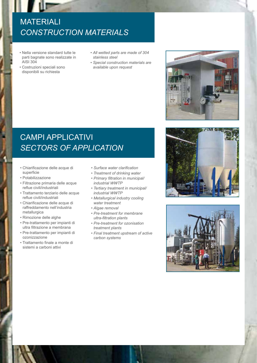# **MATERIALI** *Construction materials*

- Nella versione standard tutte le parti bagnate sono realizzate in AISI 304
- Costruzioni speciali sono disponibili su richiesta
- *• All wetted parts are made of 304 stainless steel*
- *• Special construction materials are available upon request*

## campi applicativi *Sectors of application*

- Chiarificazione delle acque di superficie
- Potabilizzazione
- Filtrazione primaria delle acque reflue civili/industriali
- Trattamento terziario delle acque reflue civili/industriali
- Chiarificazione delle acque di raffreddamento nell'industria metallurgica
- Rimozione delle alghe
- Pre-trattamento per impianti di ultra filtrazione a membrana
- Pre-trattamento per impianti di ozonizzazione
- Trattamento finale a monte di sistemi a carboni attivi
- *• Surface water clarification*
- *• Treatment of drinking water*
- *• Primary filtration in municipal/ industrial WWTP*
- *• Tertiary treatment in municipal/ industrial WWTP*
- *• Metallurgical industry cooling water treatment*
- *• Algae removal*
- *• Pre-treatment for membrane ultra-filtration plants*
- *• Pre-treatment for ozonisation treatment plants*
- *• Final treatment upstream of active carbon systems*